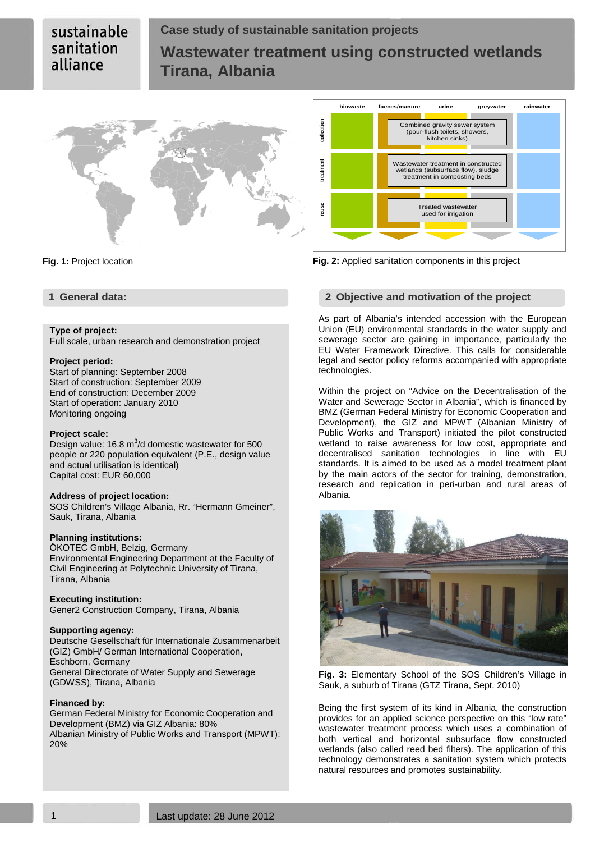# **Case study of sustainable sanitation projects Wastewater treatment using constructed wetlands Tirana, Albania**



# **Type of project:**

Full scale, urban research and demonstration project

# **Project period:**

Start of planning: September 2008 Start of construction: September 2009 End of construction: December 2009 Start of operation: January 2010 Monitoring ongoing

#### **Project scale:**

Design value: 16.8  $m^3/d$  domestic wastewater for 500 people or 220 population equivalent (P.E., design value and actual utilisation is identical) Capital cost: EUR 60,000

### **Address of project location:**

SOS Children's Village Albania, Rr. "Hermann Gmeiner", Sauk, Tirana, Albania

### **Planning institutions:**

ÖKOTEC GmbH, Belzig, Germany Environmental Engineering Department at the Faculty of Civil Engineering at Polytechnic University of Tirana, Tirana, Albania

### **Executing institution:**

Gener2 Construction Company, Tirana, Albania

### **Supporting agency:**

Deutsche Gesellschaft für Internationale Zusammenarbeit (GIZ) GmbH/ German International Cooperation, Eschborn, Germany General Directorate of Water Supply and Sewerage (GDWSS), Tirana, Albania

#### **Financed by:**

German Federal Ministry for Economic Cooperation and Development (BMZ) via GIZ Albania: 80% Albanian Ministry of Public Works and Transport (MPWT): 20%



**Fig. 1:** Project location **Fig. 2:** Applied sanitation components in this project

### **1 General data: 2 Objective and motivation of the project**

As part of Albania's intended accession with the European Union (EU) environmental standards in the water supply and sewerage sector are gaining in importance, particularly the EU Water Framework Directive. This calls for considerable legal and sector policy reforms accompanied with appropriate technologies.

Within the project on "Advice on the Decentralisation of the Water and Sewerage Sector in Albania", which is financed by BMZ (German Federal Ministry for Economic Cooperation and Development), the GIZ and MPWT (Albanian Ministry of Public Works and Transport) initiated the pilot constructed wetland to raise awareness for low cost, appropriate and decentralised sanitation technologies in line with EU standards. It is aimed to be used as a model treatment plant by the main actors of the sector for training, demonstration, research and replication in peri-urban and rural areas of Albania.



**Fig. 3:** Elementary School of the SOS Children's Village in Sauk, a suburb of Tirana (GTZ Tirana, Sept. 2010)

Being the first system of its kind in Albania, the construction provides for an applied science perspective on this "low rate" wastewater treatment process which uses a combination of both vertical and horizontal subsurface flow constructed wetlands (also called reed bed filters). The application of this technology demonstrates a sanitation system which protects natural resources and promotes sustainability.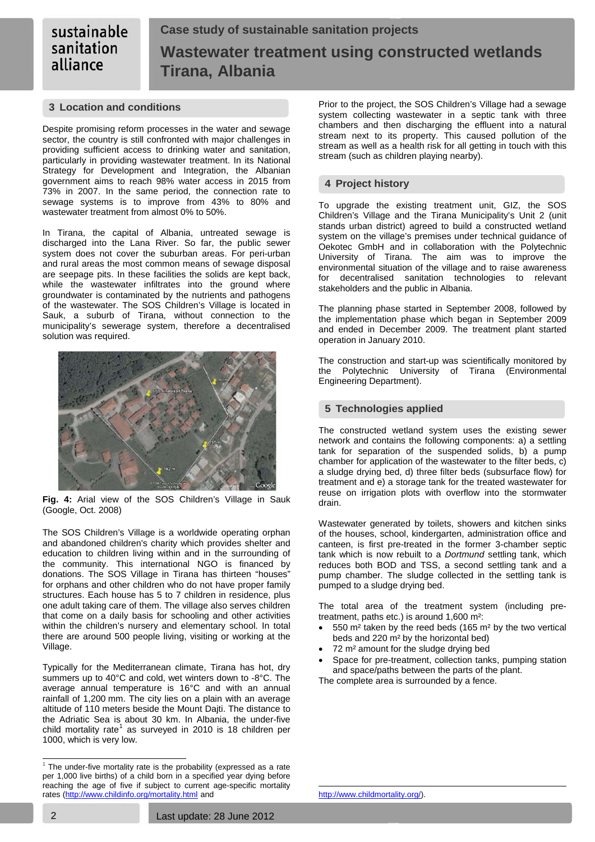# **Case study of sustainable sanitation projects Wastewater treatment using constructed wetlands Tirana, Albania**

# **3 Location and conditions**

Despite promising reform processes in the water and sewage sector, the country is still confronted with major challenges in providing sufficient access to drinking water and sanitation, particularly in providing wastewater treatment. In its National Strategy for Development and Integration, the Albanian government aims to reach 98% water access in 2015 from 73% in 2007. In the same period, the connection rate to sewage systems is to improve from 43% to 80% and wastewater treatment from almost 0% to 50%.

In Tirana, the capital of Albania, untreated sewage is discharged into the Lana River. So far, the public sewer system does not cover the suburban areas. For peri-urban and rural areas the most common means of sewage disposal are seepage pits. In these facilities the solids are kept back, while the wastewater infiltrates into the ground where groundwater is contaminated by the nutrients and pathogens of the wastewater. The SOS Children's Village is located in Sauk, a suburb of Tirana, without connection to the municipality's sewerage system, therefore a decentralised solution was required.



**Fig. 4:** Arial view of the SOS Children's Village in Sauk (Google, Oct. 2008)

The SOS Children's Village is a worldwide operating orphan and abandoned children's charity which provides shelter and education to children living within and in the surrounding of the community. This international NGO is financed by donations. The SOS Village in Tirana has thirteen "houses" for orphans and other children who do not have proper family structures. Each house has 5 to 7 children in residence, plus one adult taking care of them. The village also serves children that come on a daily basis for schooling and other activities within the children's nursery and elementary school. In total there are around 500 people living, visiting or working at the Village.

Typically for the Mediterranean climate, Tirana has hot, dry summers up to 40°C and cold, wet winters down to -8°C. The average annual temperature is 16°C and with an annual rainfall of 1,200 mm. The city lies on a plain with an average altitude of 110 meters beside the Mount Dajti. The distance to the Adriatic Sea is about 30 km. In Albania, the under-five<br>child mortality rate<sup>[1](#page-1-0)</sup> as surveyed in 2010 is 18 children per 1000, which is very low.

Prior to the project, the SOS Children's Village had a sewage system collecting wastewater in a septic tank with three chambers and then discharging the effluent into a natural stream next to its property. This caused pollution of the stream as well as a health risk for all getting in touch with this stream (such as children playing nearby).

# **4 Project history**

To upgrade the existing treatment unit, GIZ, the SOS Children's Village and the Tirana Municipality's Unit 2 (unit stands urban district) agreed to build a constructed wetland system on the village's premises under technical guidance of Oekotec GmbH and in collaboration with the Polytechnic University of Tirana. The aim was to improve the environmental situation of the village and to raise awareness for decentralised sanitation technologies to relevant stakeholders and the public in Albania.

The planning phase started in September 2008, followed by the implementation phase which began in September 2009 and ended in December 2009. The treatment plant started operation in January 2010.

The construction and start-up was scientifically monitored by the Polytechnic University of Tirana (Environmental Engineering Department).

# **5 Technologies applied**

The constructed wetland system uses the existing sewer network and contains the following components: a) a settling tank for separation of the suspended solids, b) a pump chamber for application of the wastewater to the filter beds, c) a sludge drying bed, d) three filter beds (subsurface flow) for treatment and e) a storage tank for the treated wastewater for reuse on irrigation plots with overflow into the stormwater drain.

Wastewater generated by toilets, showers and kitchen sinks of the houses, school, kindergarten, administration office and canteen, is first pre-treated in the former 3-chamber septic tank which is now rebuilt to a *Dortmund* settling tank, which reduces both BOD and TSS, a second settling tank and a pump chamber. The sludge collected in the settling tank is pumped to a sludge drying bed.

The total area of the treatment system (including pretreatment, paths etc.) is around 1,600 m²:

- 550 m² taken by the reed beds (165 m² by the two vertical beds and 220 m² by the horizontal bed)
- 72 m² amount for the sludge drying bed
- Space for pre-treatment, collection tanks, pumping station and space/paths between the parts of the plant.

The complete area is surrounded by a fence.

1

<span id="page-1-0"></span> $1$  The under-five mortality rate is the probability (expressed as a rate per 1,000 live births) of a child born in a specified year dying before reaching the age of five if subject to current age-specific mortality rates (<u><http://www.childinfo.org/mortality.html></u> and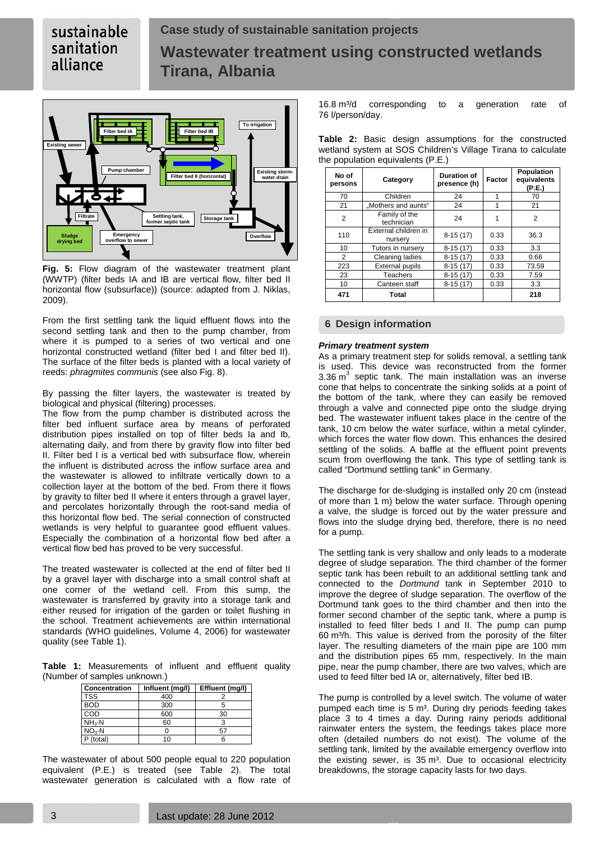# **Case study of sustainable sanitation projects Wastewater treatment using constructed wetlands Tirana, Albania**



**Fig. 5:** Flow diagram of the wastewater treatment plant (WWTP) (filter beds IA and IB are vertical flow, filter bed II horizontal flow (subsurface)) (source: adapted from J. Niklas, 2009).

From the first settling tank the liquid effluent flows into the second settling tank and then to the pump chamber, from where it is pumped to a series of two vertical and one horizontal constructed wetland (filter bed I and filter bed II). The surface of the filter beds is planted with a local variety of reeds: *phragmites communis* (see also Fig. 8).

By passing the filter layers, the wastewater is treated by biological and physical (filtering) processes.

The flow from the pump chamber is distributed across the filter bed influent surface area by means of perforated distribution pipes installed on top of filter beds Ia and Ib, alternating daily, and from there by gravity flow into filter bed II. Filter bed I is a vertical bed with subsurface flow, wherein the influent is distributed across the inflow surface area and the wastewater is allowed to infiltrate vertically down to a collection layer at the bottom of the bed. From there it flows by gravity to filter bed II where it enters through a gravel layer, and percolates horizontally through the root-sand media of this horizontal flow bed. The serial connection of constructed wetlands is very helpful to guarantee good effluent values. Especially the combination of a horizontal flow bed after a vertical flow bed has proved to be very successful.

The treated wastewater is collected at the end of filter bed II by a gravel layer with discharge into a small control shaft at one corner of the wetland cell. From this sump, the wastewater is transferred by gravity into a storage tank and either reused for irrigation of the garden or toilet flushing in the school. Treatment achievements are within international standards (WHO guidelines, Volume 4, 2006) for wastewater quality (see [Table 1\)](#page-2-0).

<span id="page-2-0"></span>**Table 1:** Measurements of influent and effluent quality (Number of samples unknown.)

| Concentration | Influent (mg/l) | Effluent (mg/l) |
|---------------|-----------------|-----------------|
| <b>TSS</b>    | 400             |                 |
| <b>BOD</b>    | 300             |                 |
| COD           | 600             | 30              |
| $NH3-N$       | 60              |                 |
| $NO3-N$       |                 |                 |
| P (total)     | 10              |                 |

The wastewater of about 500 people equal to 220 population equivalent (P.E.) is treated (see [Table 2\)](#page-2-1). The total wastewater generation is calculated with a flow rate of

16.8 m<sup>3</sup>/d corresponding to a generation rate of 76 l/person/day.

| No of<br>persons | Category                        | Duration of<br>presence (h) | Factor | Population<br>equivalents<br>(P.E.) |  |  |
|------------------|---------------------------------|-----------------------------|--------|-------------------------------------|--|--|
| 70               | Children                        | 24                          | 1      | 70                                  |  |  |
| 21               | "Mothers and aunts"             | 24                          | 1      | 21                                  |  |  |
| 2                | Family of the<br>technician     | 24                          | 1      | 2                                   |  |  |
| 110              | External children in<br>nursery | $8-15(17)$                  | 0.33   | 36.3                                |  |  |
| 10               | Tutors in nursery               | $8-15(17)$                  | 0.33   | 3.3                                 |  |  |
| 2                | Cleaning ladies                 | $8-15(17)$                  | 0.33   | 0.66                                |  |  |
| 223              | <b>External pupils</b>          | $8-15(17)$                  | 0.33   | 73.59                               |  |  |
| 23               | <b>Teachers</b>                 | $8-15(17)$                  | 0.33   | 7.59                                |  |  |
| 10               | Canteen staff                   | $8-15(17)$                  | 0.33   | 3.3                                 |  |  |
| 471              | Total                           |                             |        | 218                                 |  |  |

<span id="page-2-1"></span>**Table 2:** Basic design assumptions for the constructed wetland system at SOS Children's Village Tirana to calculate the population equivalents (P.E.)

# **6 Design information**

### *Primary treatment system*

As a primary treatment step for solids removal, a settling tank is used. This device was reconstructed from the former 3.36  $m<sup>3</sup>$  septic tank. The main installation was an inverse cone that helps to concentrate the sinking solids at a point of the bottom of the tank, where they can easily be removed through a valve and connected pipe onto the sludge drying bed. The wastewater influent takes place in the centre of the tank, 10 cm below the water surface, within a metal cylinder, which forces the water flow down. This enhances the desired settling of the solids. A baffle at the effluent point prevents scum from overflowing the tank. This type of settling tank is called "Dortmund settling tank" in Germany.

The discharge for de-sludging is installed only 20 cm (instead of more than 1 m) below the water surface. Through opening a valve, the sludge is forced out by the water pressure and flows into the sludge drying bed, therefore, there is no need for a pump.

The settling tank is very shallow and only leads to a moderate degree of sludge separation. The third chamber of the former septic tank has been rebuilt to an additional settling tank and connected to the *Dortmund* tank in September 2010 to improve the degree of sludge separation. The overflow of the Dortmund tank goes to the third chamber and then into the former second chamber of the septic tank, where a pump is installed to feed filter beds I and II. The pump can pump 60 m<sup>3</sup>/h. This value is derived from the porosity of the filter layer. The resulting diameters of the main pipe are 100 mm and the distribution pipes 65 mm, respectively. In the main pipe, near the pump chamber, there are two valves, which are used to feed filter bed IA or, alternatively, filter bed IB.

The pump is controlled by a level switch. The volume of water pumped each time is 5 m<sup>3</sup>. During dry periods feeding takes place 3 to 4 times a day. During rainy periods additional rainwater enters the system, the feedings takes place more often (detailed numbers do not exist). The volume of the settling tank, limited by the available emergency overflow into the existing sewer, is  $35 \text{ m}^3$ . Due to occasional electricity breakdowns, the storage capacity lasts for two days.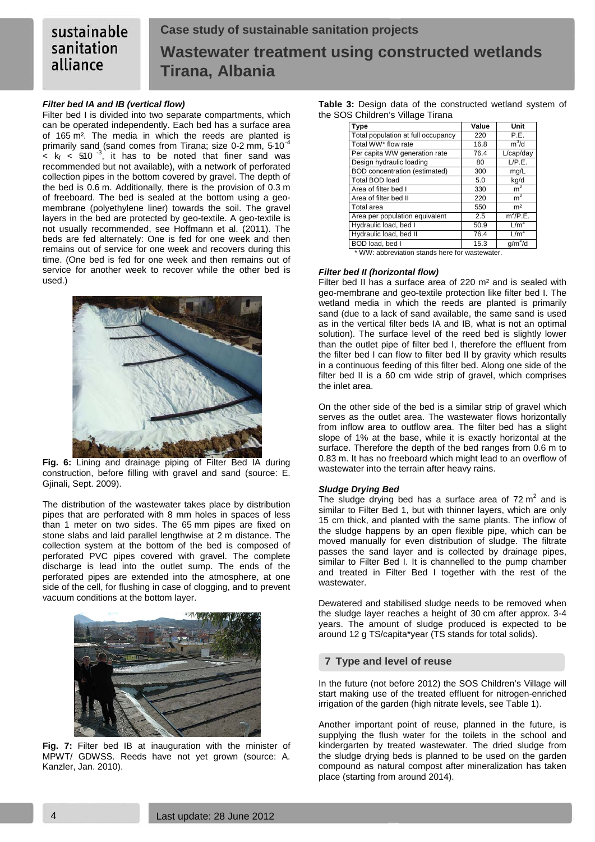#### sustainable **Case study of sustainable sanitation projects** sanitation **Wastewater treatment using constructed wetlands** alliance **Tirana, Albania**

# *Filter bed IA and IB (vertical flow)*

Filter bed I is divided into two separate compartments, which can be operated independently. Each bed has a surface area of 165 m². The media in which the reeds are planted is primarily sand (sand comes from Tirana; size 0-2 mm, 5.10<sup>-4</sup>  $\epsilon$  k<sub>f</sub>  $\epsilon$  510<sup>-3</sup> , it has to be noted that finer sand was recommended but not available), with a network of perforated collection pipes in the bottom covered by gravel. The depth of the bed is 0.6 m. Additionally, there is the provision of 0.3 m of freeboard. The bed is sealed at the bottom using a geomembrane (polyethylene liner) towards the soil. The gravel layers in the bed are protected by geo-textile. A geo-textile is not usually recommended, see Hoffmann et al. (2011). The beds are fed alternately: One is fed for one week and then remains out of service for one week and recovers during this time. (One bed is fed for one week and then remains out of service for another week to recover while the other bed is used.)



**Fig. 6:** Lining and drainage piping of Filter Bed IA during construction, before filling with gravel and sand (source: E. Gjinali, Sept. 2009).

The distribution of the wastewater takes place by distribution pipes that are perforated with 8 mm holes in spaces of less than 1 meter on two sides. The 65 mm pipes are fixed on stone slabs and laid parallel lengthwise at 2 m distance. The collection system at the bottom of the bed is composed of perforated PVC pipes covered with gravel. The complete discharge is lead into the outlet sump. The ends of the perforated pipes are extended into the atmosphere, at one side of the cell, for flushing in case of clogging, and to prevent vacuum conditions at the bottom layer.



**Fig. 7:** Filter bed IB at inauguration with the minister of MPWT/ GDWSS. Reeds have not yet grown (source: A. Kanzler, Jan. 2010).

**Table 3:** Design data of the constructed wetland system of the SOS Children's Village Tirana

| <b>Type</b>                          | Value | Unit             |  |  |
|--------------------------------------|-------|------------------|--|--|
| Total population at full occupancy   | 220   | P.E.             |  |  |
| Total WW* flow rate                  | 16.8  | $m^3/d$          |  |  |
| Per capita WW generation rate        | 76.4  | L/cap/day        |  |  |
| Design hydraulic loading             | 80    | L/P.E.           |  |  |
| <b>BOD</b> concentration (estimated) | 300   | mg/L             |  |  |
| Total BOD load                       | 5.0   | kg/d             |  |  |
| Area of filter bed I                 | 330   | m <sup>2</sup>   |  |  |
| Area of filter bed II                | 220   | m <sup>2</sup>   |  |  |
| Total area                           | 550   | m <sup>2</sup>   |  |  |
| Area per population equivalent       | 2.5   | $m^2$ /P.E.      |  |  |
| Hydraulic load, bed I                | 50.9  | L/m <sup>2</sup> |  |  |
| Hydraulic load, bed II               | 76.4  | L/m <sup>2</sup> |  |  |
| BOD load, bed I                      | 15.3  | $q/m^2/d$        |  |  |

\* WW: abbreviation stands here for wastewater.

### *Filter bed II (horizontal flow)*

Filter bed II has a surface area of 220 m<sup>2</sup> and is sealed with geo-membrane and geo-textile protection like filter bed I. The wetland media in which the reeds are planted is primarily sand (due to a lack of sand available, the same sand is used as in the vertical filter beds IA and IB, what is not an optimal solution). The surface level of the reed bed is slightly lower than the outlet pipe of filter bed I, therefore the effluent from the filter bed I can flow to filter bed II by gravity which results in a continuous feeding of this filter bed. Along one side of the filter bed II is a 60 cm wide strip of gravel, which comprises the inlet area.

On the other side of the bed is a similar strip of gravel which serves as the outlet area. The wastewater flows horizontally from inflow area to outflow area. The filter bed has a slight slope of 1% at the base, while it is exactly horizontal at the surface. Therefore the depth of the bed ranges from 0.6 m to 0.83 m. It has no freeboard which might lead to an overflow of wastewater into the terrain after heavy rains.

### *Sludge Drying Bed*

The sludge drying bed has a surface area of  $72 \text{ m}^2$  and is similar to Filter Bed 1, but with thinner layers, which are only 15 cm thick, and planted with the same plants. The inflow of the sludge happens by an open flexible pipe, which can be moved manually for even distribution of sludge. The filtrate passes the sand layer and is collected by drainage pipes, similar to Filter Bed I. It is channelled to the pump chamber and treated in Filter Bed I together with the rest of the wastewater.

Dewatered and stabilised sludge needs to be removed when the sludge layer reaches a height of 30 cm after approx. 3-4 years. The amount of sludge produced is expected to be around 12 g TS/capita\*year (TS stands for total solids).

# **7 Type and level of reuse**

In the future (not before 2012) the SOS Children's Village will start making use of the treated effluent for nitrogen-enriched irrigation of the garden (high nitrate levels, see Table 1).

Another important point of reuse, planned in the future, is supplying the flush water for the toilets in the school and kindergarten by treated wastewater. The dried sludge from the sludge drying beds is planned to be used on the garden compound as natural compost after mineralization has taken place (starting from around 2014).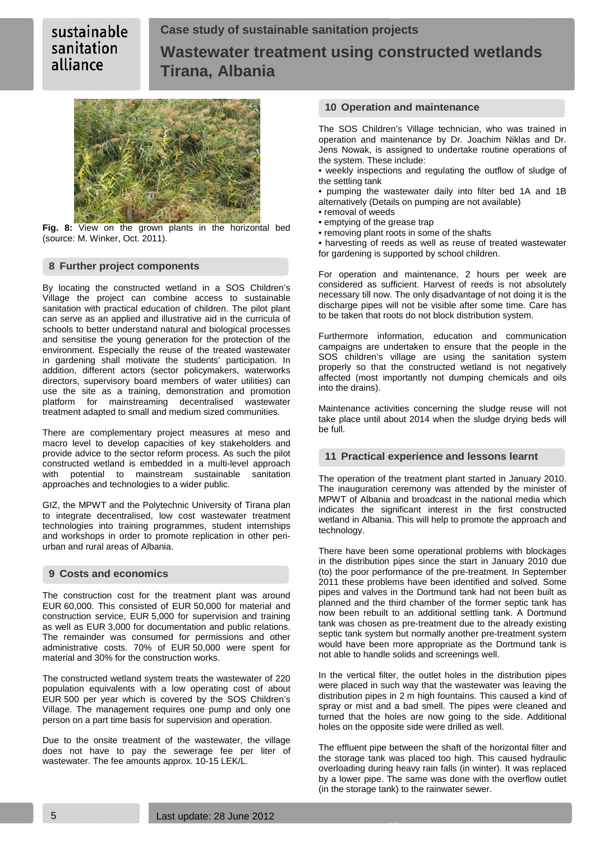# **Case study of sustainable sanitation projects Wastewater treatment using constructed wetlands Tirana, Albania**



**Fig. 8:** View on the grown plants in the horizontal bed (source: M. Winker, Oct. 2011).

### **8 Further project components**

By locating the constructed wetland in a SOS Children's Village the project can combine access to sustainable sanitation with practical education of children. The pilot plant can serve as an applied and illustrative aid in the curricula of schools to better understand natural and biological processes and sensitise the young generation for the protection of the environment. Especially the reuse of the treated wastewater in gardening shall motivate the students' participation. In addition, different actors (sector policymakers, waterworks directors, supervisory board members of water utilities) can use the site as a training, demonstration and promotion platform for mainstreaming decentralised wastewater platform for mainstreaming decentralised treatment adapted to small and medium sized communities.

There are complementary project measures at meso and macro level to develop capacities of key stakeholders and provide advice to the sector reform process. As such the pilot constructed wetland is embedded in a multi-level approach potential to mainstream sustainable approaches and technologies to a wider public.

GIZ, the MPWT and the Polytechnic University of Tirana plan to integrate decentralised, low cost wastewater treatment technologies into training programmes, student internships and workshops in order to promote replication in other periurban and rural areas of Albania.

# **9 Costs and economics**

The construction cost for the treatment plant was around EUR 60,000. This consisted of EUR 50,000 for material and construction service, EUR 5,000 for supervision and training as well as EUR 3,000 for documentation and public relations. The remainder was consumed for permissions and other administrative costs. 70% of EUR 50,000 were spent for material and 30% for the construction works.

The constructed wetland system treats the wastewater of 220 population equivalents with a low operating cost of about EUR 500 per year which is covered by the SOS Children's Village. The management requires one pump and only one person on a part time basis for supervision and operation.

Due to the onsite treatment of the wastewater, the village does not have to pay the sewerage fee per liter of wastewater. The fee amounts approx. 10-15 LEK/L.

# **10 Operation and maintenance**

The SOS Children's Village technician, who was trained in operation and maintenance by Dr. Joachim Niklas and Dr. Jens Nowak, is assigned to undertake routine operations of the system. These include:

• weekly inspections and regulating the outflow of sludge of the settling tank

• pumping the wastewater daily into filter bed 1A and 1B alternatively (Details on pumping are not available)

- removal of weeds
- emptying of the grease trap
- removing plant roots in some of the shafts

• harvesting of reeds as well as reuse of treated wastewater for gardening is supported by school children.

For operation and maintenance, 2 hours per week are considered as sufficient. Harvest of reeds is not absolutely necessary till now. The only disadvantage of not doing it is the discharge pipes will not be visible after some time. Care has to be taken that roots do not block distribution system.

Furthermore information, education and communication campaigns are undertaken to ensure that the people in the SOS children's village are using the sanitation system properly so that the constructed wetland is not negatively affected (most importantly not dumping chemicals and oils into the drains).

Maintenance activities concerning the sludge reuse will not take place until about 2014 when the sludge drying beds will be full.

### **11 Practical experience and lessons learnt**

The operation of the treatment plant started in January 2010. The inauguration ceremony was attended by the minister of MPWT of Albania and broadcast in the national media which indicates the significant interest in the first constructed wetland in Albania. This will help to promote the approach and technology.

There have been some operational problems with blockages in the distribution pipes since the start in January 2010 due (to) the poor performance of the pre-treatment. In September 2011 these problems have been identified and solved. Some pipes and valves in the Dortmund tank had not been built as planned and the third chamber of the former septic tank has now been rebuilt to an additional settling tank. A Dortmund tank was chosen as pre-treatment due to the already existing septic tank system but normally another pre-treatment system would have been more appropriate as the Dortmund tank is not able to handle solids and screenings well.

In the vertical filter, the outlet holes in the distribution pipes were placed in such way that the wastewater was leaving the distribution pipes in 2 m high fountains. This caused a kind of spray or mist and a bad smell. The pipes were cleaned and turned that the holes are now going to the side. Additional holes on the opposite side were drilled as well.

The effluent pipe between the shaft of the horizontal filter and the storage tank was placed too high. This caused hydraulic overloading during heavy rain falls (in winter). It was replaced by a lower pipe. The same was done with the overflow outlet (in the storage tank) to the rainwater sewer.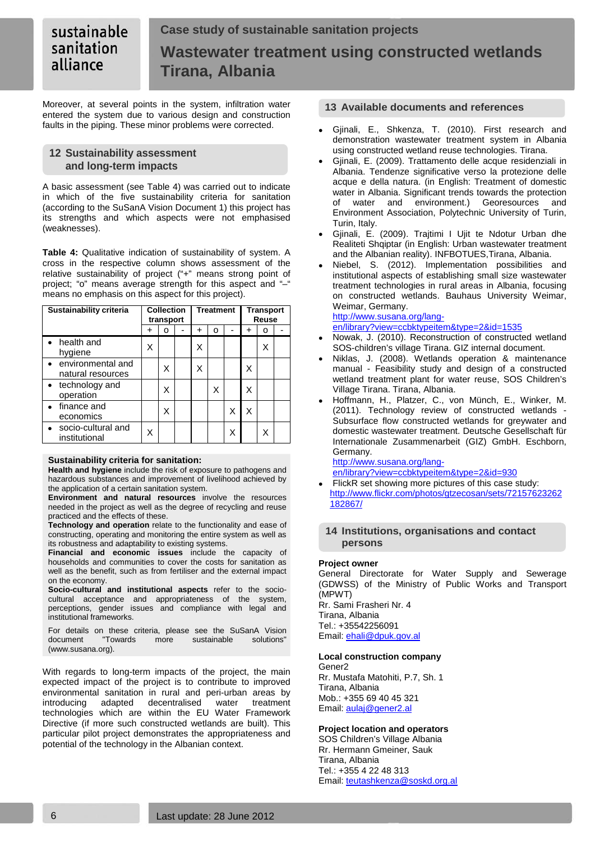#### sustainable **Case study of sustainable sanitation projects** sanitation **Wastewater treatment using constructed wetlands** alliance **Tirana, Albania**

Moreover, at several points in the system, infiltration water entered the system due to various design and construction faults in the piping. These minor problems were corrected.

# **12 Sustainability assessment and long-term impacts**

A basic assessment (see [Table 4\)](#page-5-0) was carried out to indicate in which of the five sustainability criteria for sanitation (according to the SuSanA Vision Document 1) this project has its strengths and which aspects were not emphasised (weaknesses).

<span id="page-5-0"></span>**Table 4:** Qualitative indication of sustainability of system. A cross in the respective column shows assessment of the relative sustainability of project ("+" means strong point of project; "o" means average strength for this aspect and "-" means no emphasis on this aspect for this project).

| <b>Collection</b><br>Sustainability criteria<br>transport |   | <b>Treatment</b> |   | <b>Transport</b><br>Reuse |  |   |   |  |
|-----------------------------------------------------------|---|------------------|---|---------------------------|--|---|---|--|
|                                                           | ٠ | o                | ٠ | о                         |  | ٠ | o |  |
| health and<br>hygiene                                     | Χ |                  |   |                           |  |   |   |  |
| environmental and<br>natural resources                    |   | X                |   |                           |  | Χ |   |  |
| • technology and<br>operation                             |   | x                |   | X                         |  | Χ |   |  |
| finance and<br>economics                                  |   | Χ                |   |                           |  | Χ |   |  |
| socio-cultural and<br>institutional                       | Χ |                  |   |                           |  |   |   |  |

### **Sustainability criteria for sanitation:**

**Health and hygiene** include the risk of exposure to pathogens and hazardous substances and improvement of livelihood achieved by the application of a certain sanitation system.

**Environment and natural resources** involve the resources needed in the project as well as the degree of recycling and reuse practiced and the effects of these.

**Technology and operation** relate to the functionality and ease of constructing, operating and monitoring the entire system as well as its robustness and adaptability to existing systems.

**Financial and economic issues** include the capacity of households and communities to cover the costs for sanitation as well as the benefit, such as from fertiliser and the external impact on the economy.

**Socio-cultural and institutional aspects** refer to the sociocultural acceptance and appropriateness of the system, perceptions, gender issues and compliance with legal and institutional frameworks.

For details on these criteria, please see the SuSanA Vision sustainable (www.susana.org).

With regards to long-term impacts of the project, the main expected impact of the project is to contribute to improved environmental sanitation in rural and peri-urban areas by introducing adapted decentralised water treatment technologies which are within the EU Water Framework Directive (if more such constructed wetlands are built). This particular pilot project demonstrates the appropriateness and potential of the technology in the Albanian context.

# **13 Available documents and references**

- Gjinali, E., Shkenza, T. (2010). First research and demonstration wastewater treatment system in Albania using constructed wetland reuse technologies. Tirana.
- Gjinali, E. (2009). Trattamento delle acque residenziali in Albania. Tendenze significative verso la protezione delle acque e della natura. (in English: Treatment of domestic water in Albania. Significant trends towards the protection of water and environment.) Georesources and Environment Association, Polytechnic University of Turin, Turin, Italy.
- Gjinali, E. (2009). Trajtimi I Ujit te Ndotur Urban dhe Realiteti Shqiptar (in English: Urban wastewater treatment and the Albanian reality). INFBOTUES,Tirana, Albania.
- Niebel, S. (2012). Implementation possibilities and institutional aspects of establishing small size wastewater treatment technologies in rural areas in Albania, focusing on constructed wetlands. Bauhaus University Weimar, Weimar, Germany.

### [http://www.susana.org/lang-](http://www.susana.org/lang-en/library?view=ccbktypeitem&type=2&id=1535)

[en/library?view=ccbktypeitem&type=2&id=1535](http://www.susana.org/lang-en/library?view=ccbktypeitem&type=2&id=1535)

- Nowak, J. (2010). Reconstruction of constructed wetland SOS-children's village Tirana. GIZ internal document.
- Niklas, J. (2008). Wetlands operation & maintenance manual - Feasibility study and design of a constructed wetland treatment plant for water reuse, SOS Children's Village Tirana. Tirana, Albania.
- Hoffmann, H., Platzer, C., von Münch, E., Winker, M. (2011). Technology review of constructed wetlands - Subsurface flow constructed wetlands for greywater and domestic wastewater treatment. Deutsche Gesellschaft für Internationale Zusammenarbeit (GIZ) GmbH. Eschborn, Germany.

[http://www.susana.org/lang](http://www.susana.org/lang-en/library?view=ccbktypeitem&type=2&id=930)[en/library?view=ccbktypeitem&type=2&id=930](http://www.susana.org/lang-en/library?view=ccbktypeitem&type=2&id=930)

FlickR set showing more pictures of this case study: [http://www.flickr.com/photos/gtzecosan/sets/72157623262](http://www.flickr.com/photos/gtzecosan/sets/72157623262182867/) [182867/](http://www.flickr.com/photos/gtzecosan/sets/72157623262182867/)

### **14 Institutions, organisations and contact persons**

# **Project owner**

General Directorate for Water Supply and Sewerage (GDWSS) of the Ministry of Public Works and Transport (MPWT) Rr. Sami Frasheri Nr. 4 Tirana, Albania Tel.: +35542256091 Email: **ehali@dpuk.gov.al** 

### **Local construction company**

Gener2 Rr. Mustafa Matohiti, P.7, Sh. 1 Tirana, Albania Mob.: +355 69 40 45 321 Email[: aulaj@gener2.al](mailto:aulaj@gener2.al)

# **Project location and operators**

SOS Children's Village Albania Rr. Hermann Gmeiner, Sauk Tirana, Albania Tel.: +355 4 22 48 313 Email[: teutashkenza@soskd.org.al](mailto:teutashkenza@soskd.org.al)